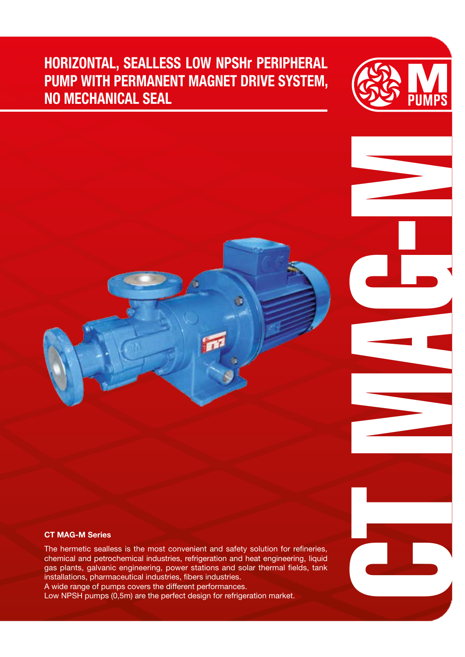## HORIZONTAL, SEALLESS LOW NPSHr PERIPHERAL PUMP WITH PERMANENT MAGNET DRIVE SYSTEM, NO MECHANICAL SEAL



CH MAGES

#### CT MAG-M Series

The hermetic sealless is the most convenient and safety solution for refineries, chemical and petrochemical industries, refrigeration and heat engineering, liquid gas plants, galvanic engineering, power stations and solar thermal fields, tank installations, pharmaceutical industries, fibers industries.

A wide range of pumps covers the different performances. Low NPSH pumps (0,5m) are the perfect design for refrigeration market.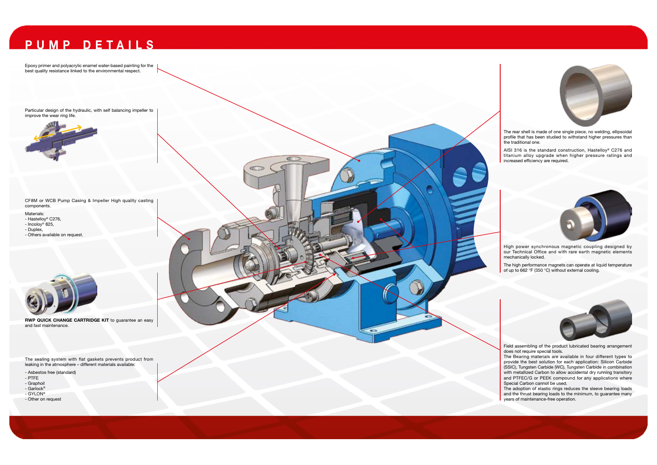# PUMP DETAILS

Epoxy primer and polyacrylic enamel water-based painting for the best quality resistance linked to the environmental respect.

RWP QUICK CHANGE CARTRIDGE KIT to guarantee an easy and fast maintenance.

CF8M or WCB Pump Casing & Impeller High quality casting components.

Materials:

- Hastelloy® C276,
- Incoloy® 825, - Duplex,
- Others available on request.



The sealing system with flat gaskets prevents product from leaking in the atmosphere – different materials available:

- Asbestos free (standard)
- PTFE
- Graphoil
- Garlock® - GYLON®
- Other on request



Particular design of the hydraulic, with self balancing impeller to improve the wear ring life.



The rear shell is made of one single piece, no welding, ellipsoidal profile that has been studied to withstand higher pressures than the traditional one.

The Bearing materials are available in four different types to provide the best solution for each application: Silicon Carbide (SSIC), Tungsten Carbide (WC), Tungsten Carbide in combination with metallized Carbon to allow accidental dry running transitory and PTFEC/G or PEEK compound for any applications where Special Carbon cannot be used.

AISI 316 is the standard construction, Hastelloy® C276 and titanium alloy upgrade when higher pressure ratings and increased efficiency are required.



High power synchronous magnetic coupling designed by our Technical Office and with rare earth magnetic elements mechanically locked.

The high performance magnets can operate at liquid temperature of up to 662 °F (350 °C) without external cooling.



Field assembling of the product lubricated bearing arrangement does not require special tools.

The adoption of elastic rings reduces the sleeve bearing loads and the thrust bearing loads to the minimum, to guarantee many years of maintenance-free operation.